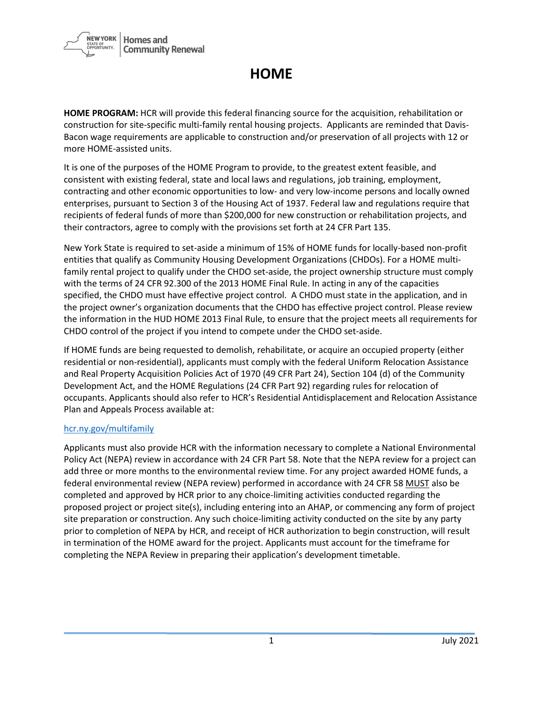

## **HOME**

**HOME PROGRAM:** HCR will provide this federal financing source for the acquisition, rehabilitation or construction for site-specific multi-family rental housing projects. Applicants are reminded that Davis-Bacon wage requirements are applicable to construction and/or preservation of all projects with 12 or more HOME-assisted units.

It is one of the purposes of the HOME Program to provide, to the greatest extent feasible, and consistent with existing federal, state and local laws and regulations, job training, employment, contracting and other economic opportunities to low- and very low-income persons and locally owned enterprises, pursuant to Section 3 of the Housing Act of 1937. Federal law and regulations require that recipients of federal funds of more than \$200,000 for new construction or rehabilitation projects, and their contractors, agree to comply with the provisions set forth at 24 CFR Part 135.

New York State is required to set-aside a minimum of 15% of HOME funds for locally-based non-profit entities that qualify as Community Housing Development Organizations (CHDOs). For a HOME multifamily rental project to qualify under the CHDO set-aside, the project ownership structure must comply with the terms of 24 CFR 92.300 of the 2013 HOME Final Rule. In acting in any of the capacities specified, the CHDO must have effective project control. A CHDO must state in the application, and in the project owner's organization documents that the CHDO has effective project control. Please review the information in the HUD HOME 2013 Final Rule, to ensure that the project meets all requirements for CHDO control of the project if you intend to compete under the CHDO set-aside.

If HOME funds are being requested to demolish, rehabilitate, or acquire an occupied property (either residential or non-residential), applicants must comply with the federal Uniform Relocation Assistance and Real Property Acquisition Policies Act of 1970 (49 CFR Part 24), Section 104 (d) of the Community Development Act, and the HOME Regulations (24 CFR Part 92) regarding rules for relocation of occupants. Applicants should also refer to HCR's Residential Antidisplacement and Relocation Assistance Plan and Appeals Process available at:

## [hcr.ny.gov/multifamily](https://hcr.ny.gov/multifamily)

Applicants must also provide HCR with the information necessary to complete a National Environmental Policy Act (NEPA) review in accordance with 24 CFR Part 58. Note that the NEPA review for a project can add three or more months to the environmental review time. For any project awarded HOME funds, a federal environmental review (NEPA review) performed in accordance with 24 CFR 58 MUST also be completed and approved by HCR prior to any choice-limiting activities conducted regarding the proposed project or project site(s), including entering into an AHAP, or commencing any form of project site preparation or construction. Any such choice-limiting activity conducted on the site by any party prior to completion of NEPA by HCR, and receipt of HCR authorization to begin construction, will result in termination of the HOME award for the project. Applicants must account for the timeframe for completing the NEPA Review in preparing their application's development timetable.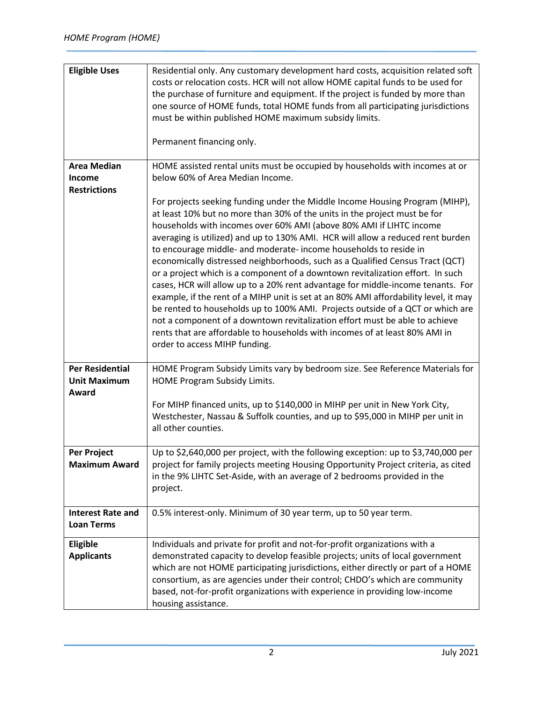| <b>Eligible Uses</b>                                       | Residential only. Any customary development hard costs, acquisition related soft<br>costs or relocation costs. HCR will not allow HOME capital funds to be used for<br>the purchase of furniture and equipment. If the project is funded by more than<br>one source of HOME funds, total HOME funds from all participating jurisdictions<br>must be within published HOME maximum subsidy limits.<br>Permanent financing only.                                                                                                                                                                                                                                                                                                                                                                                                                                                                                                                                                                                          |
|------------------------------------------------------------|-------------------------------------------------------------------------------------------------------------------------------------------------------------------------------------------------------------------------------------------------------------------------------------------------------------------------------------------------------------------------------------------------------------------------------------------------------------------------------------------------------------------------------------------------------------------------------------------------------------------------------------------------------------------------------------------------------------------------------------------------------------------------------------------------------------------------------------------------------------------------------------------------------------------------------------------------------------------------------------------------------------------------|
| <b>Area Median</b><br><b>Income</b><br><b>Restrictions</b> | HOME assisted rental units must be occupied by households with incomes at or<br>below 60% of Area Median Income.                                                                                                                                                                                                                                                                                                                                                                                                                                                                                                                                                                                                                                                                                                                                                                                                                                                                                                        |
|                                                            | For projects seeking funding under the Middle Income Housing Program (MIHP),<br>at least 10% but no more than 30% of the units in the project must be for<br>households with incomes over 60% AMI (above 80% AMI if LIHTC income<br>averaging is utilized) and up to 130% AMI. HCR will allow a reduced rent burden<br>to encourage middle- and moderate- income households to reside in<br>economically distressed neighborhoods, such as a Qualified Census Tract (QCT)<br>or a project which is a component of a downtown revitalization effort. In such<br>cases, HCR will allow up to a 20% rent advantage for middle-income tenants. For<br>example, if the rent of a MIHP unit is set at an 80% AMI affordability level, it may<br>be rented to households up to 100% AMI. Projects outside of a QCT or which are<br>not a component of a downtown revitalization effort must be able to achieve<br>rents that are affordable to households with incomes of at least 80% AMI in<br>order to access MIHP funding. |
| <b>Per Residential</b><br><b>Unit Maximum</b>              | HOME Program Subsidy Limits vary by bedroom size. See Reference Materials for<br>HOME Program Subsidy Limits.                                                                                                                                                                                                                                                                                                                                                                                                                                                                                                                                                                                                                                                                                                                                                                                                                                                                                                           |
| Award                                                      | For MIHP financed units, up to \$140,000 in MIHP per unit in New York City,<br>Westchester, Nassau & Suffolk counties, and up to \$95,000 in MIHP per unit in<br>all other counties.                                                                                                                                                                                                                                                                                                                                                                                                                                                                                                                                                                                                                                                                                                                                                                                                                                    |
| Per Project<br><b>Maximum Award</b>                        | Up to \$2,640,000 per project, with the following exception: up to \$3,740,000 per<br>project for family projects meeting Housing Opportunity Project criteria, as cited<br>in the 9% LIHTC Set-Aside, with an average of 2 bedrooms provided in the<br>project.                                                                                                                                                                                                                                                                                                                                                                                                                                                                                                                                                                                                                                                                                                                                                        |
| <b>Interest Rate and</b><br><b>Loan Terms</b>              | 0.5% interest-only. Minimum of 30 year term, up to 50 year term.                                                                                                                                                                                                                                                                                                                                                                                                                                                                                                                                                                                                                                                                                                                                                                                                                                                                                                                                                        |
| Eligible<br><b>Applicants</b>                              | Individuals and private for profit and not-for-profit organizations with a<br>demonstrated capacity to develop feasible projects; units of local government<br>which are not HOME participating jurisdictions, either directly or part of a HOME<br>consortium, as are agencies under their control; CHDO's which are community<br>based, not-for-profit organizations with experience in providing low-income<br>housing assistance.                                                                                                                                                                                                                                                                                                                                                                                                                                                                                                                                                                                   |